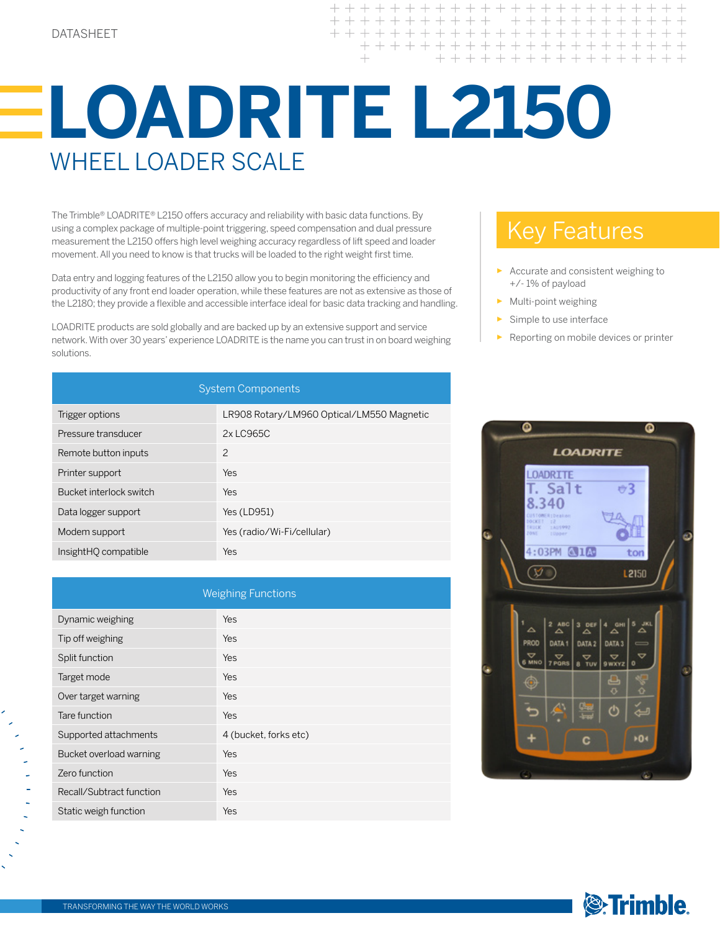$++ +$ 

## **LOADRITE L2150** WHEEL LOADER SCALE

The Trimble® LOADRITE® L2150 offers accuracy and reliability with basic data functions. By using a complex package of multiple-point triggering, speed compensation and dual pressure measurement the L2150 offers high level weighing accuracy regardless of lift speed and loader movement. All you need to know is that trucks will be loaded to the right weight first time.

Data entry and logging features of the L2150 allow you to begin monitoring the efficiency and productivity of any front end loader operation, while these features are not as extensive as those of the L2180; they provide a flexible and accessible interface ideal for basic data tracking and handling.

LOADRITE products are sold globally and are backed up by an extensive support and service network. With over 30 years' experience LOADRITE is the name you can trust in on board weighing solutions.

| <b>System Components</b> |                                           |  |
|--------------------------|-------------------------------------------|--|
| Trigger options          | LR908 Rotary/LM960 Optical/LM550 Magnetic |  |
| Pressure transducer      | 2x LC965C                                 |  |
| Remote button inputs     | 2                                         |  |
| Printer support          | Yes                                       |  |
| Bucket interlock switch  | Yes                                       |  |
| Data logger support      | Yes (LD951)                               |  |
| Modem support            | Yes (radio/Wi-Fi/cellular)                |  |

| <b>Weighing Functions</b> |                       |  |
|---------------------------|-----------------------|--|
| Dynamic weighing          | Yes                   |  |
| Tip off weighing          | Yes                   |  |
| Split function            | Yes                   |  |
| Target mode               | Yes                   |  |
| Over target warning       | <b>Yes</b>            |  |
| Tare function             | Yes                   |  |
| Supported attachments     | 4 (bucket, forks etc) |  |
| Bucket overload warning   | Yes                   |  |
| Zero function             | Yes                   |  |
| Recall/Subtract function  | Yes                   |  |
| Static weigh function     | Yes                   |  |

## Key Features

- Accurate and consistent weighing to +/- 1% of payload
- ► Multi-point weighing
- Simple to use interface
- Reporting on mobile devices or printer





InsightHQ compatible Yes